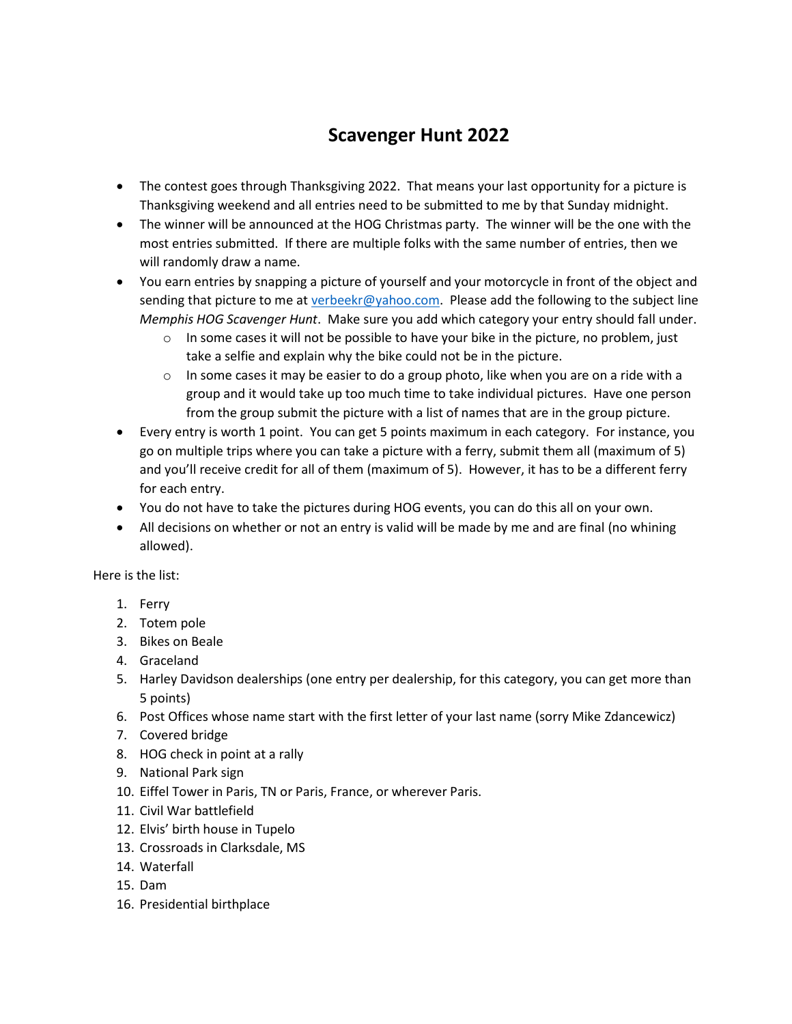## **Scavenger Hunt 2022**

- The contest goes through Thanksgiving 2022. That means your last opportunity for a picture is Thanksgiving weekend and all entries need to be submitted to me by that Sunday midnight.
- The winner will be announced at the HOG Christmas party. The winner will be the one with the most entries submitted. If there are multiple folks with the same number of entries, then we will randomly draw a name.
- You earn entries by snapping a picture of yourself and your motorcycle in front of the object and sending that picture to me a[t verbeekr@yahoo.com.](mailto:verbeekr@yahoo.com) Please add the following to the subject line *Memphis HOG Scavenger Hunt*. Make sure you add which category your entry should fall under.
	- $\circ$  In some cases it will not be possible to have your bike in the picture, no problem, just take a selfie and explain why the bike could not be in the picture.
	- $\circ$  In some cases it may be easier to do a group photo, like when you are on a ride with a group and it would take up too much time to take individual pictures. Have one person from the group submit the picture with a list of names that are in the group picture.
- Every entry is worth 1 point. You can get 5 points maximum in each category. For instance, you go on multiple trips where you can take a picture with a ferry, submit them all (maximum of 5) and you'll receive credit for all of them (maximum of 5). However, it has to be a different ferry for each entry.
- You do not have to take the pictures during HOG events, you can do this all on your own.
- All decisions on whether or not an entry is valid will be made by me and are final (no whining allowed).

Here is the list:

- 1. Ferry
- 2. Totem pole
- 3. Bikes on Beale
- 4. Graceland
- 5. Harley Davidson dealerships (one entry per dealership, for this category, you can get more than 5 points)
- 6. Post Offices whose name start with the first letter of your last name (sorry Mike Zdancewicz)
- 7. Covered bridge
- 8. HOG check in point at a rally
- 9. National Park sign
- 10. Eiffel Tower in Paris, TN or Paris, France, or wherever Paris.
- 11. Civil War battlefield
- 12. Elvis' birth house in Tupelo
- 13. Crossroads in Clarksdale, MS
- 14. Waterfall
- 15. Dam
- 16. Presidential birthplace